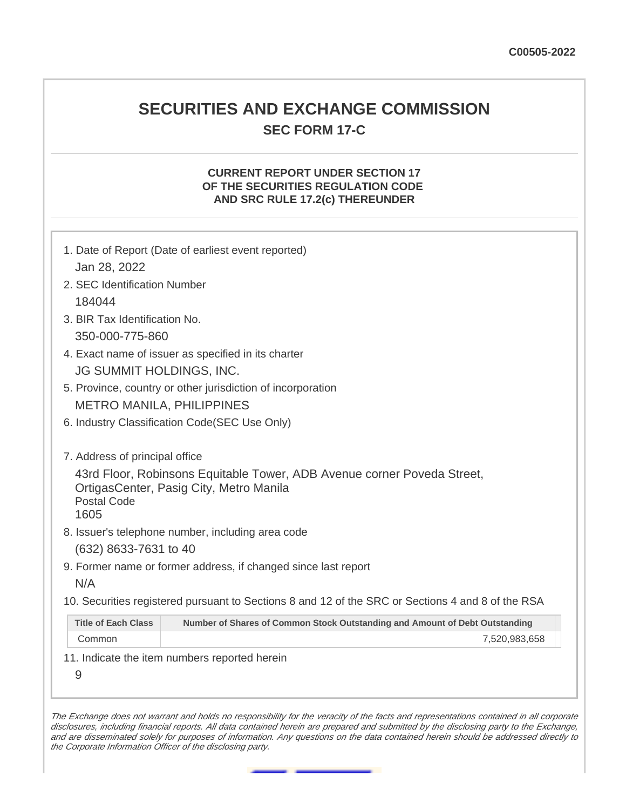# **SECURITIES AND EXCHANGE COMMISSION SEC FORM 17-C**

## **CURRENT REPORT UNDER SECTION 17 OF THE SECURITIES REGULATION CODE AND SRC RULE 17.2(c) THEREUNDER**

| Jan 28, 2022                                                                                                                                                                                                                            | 1. Date of Report (Date of earliest event reported)                         |  |  |  |  |  |
|-----------------------------------------------------------------------------------------------------------------------------------------------------------------------------------------------------------------------------------------|-----------------------------------------------------------------------------|--|--|--|--|--|
| 2. SEC Identification Number                                                                                                                                                                                                            |                                                                             |  |  |  |  |  |
| 184044                                                                                                                                                                                                                                  |                                                                             |  |  |  |  |  |
|                                                                                                                                                                                                                                         | 3. BIR Tax Identification No.                                               |  |  |  |  |  |
| 350-000-775-860                                                                                                                                                                                                                         |                                                                             |  |  |  |  |  |
|                                                                                                                                                                                                                                         |                                                                             |  |  |  |  |  |
|                                                                                                                                                                                                                                         | 4. Exact name of issuer as specified in its charter                         |  |  |  |  |  |
| JG SUMMIT HOLDINGS, INC.                                                                                                                                                                                                                |                                                                             |  |  |  |  |  |
| 5. Province, country or other jurisdiction of incorporation                                                                                                                                                                             |                                                                             |  |  |  |  |  |
|                                                                                                                                                                                                                                         | <b>METRO MANILA, PHILIPPINES</b>                                            |  |  |  |  |  |
| 6. Industry Classification Code(SEC Use Only)                                                                                                                                                                                           |                                                                             |  |  |  |  |  |
| 7. Address of principal office<br>43rd Floor, Robinsons Equitable Tower, ADB Avenue corner Poveda Street,<br>OrtigasCenter, Pasig City, Metro Manila<br><b>Postal Code</b><br>1605<br>8. Issuer's telephone number, including area code |                                                                             |  |  |  |  |  |
| (632) 8633-7631 to 40                                                                                                                                                                                                                   |                                                                             |  |  |  |  |  |
|                                                                                                                                                                                                                                         | 9. Former name or former address, if changed since last report              |  |  |  |  |  |
| N/A                                                                                                                                                                                                                                     |                                                                             |  |  |  |  |  |
| 10. Securities registered pursuant to Sections 8 and 12 of the SRC or Sections 4 and 8 of the RSA                                                                                                                                       |                                                                             |  |  |  |  |  |
| <b>Title of Each Class</b>                                                                                                                                                                                                              | Number of Shares of Common Stock Outstanding and Amount of Debt Outstanding |  |  |  |  |  |
| Common                                                                                                                                                                                                                                  | 7,520,983,658                                                               |  |  |  |  |  |
|                                                                                                                                                                                                                                         | 11. Indicate the item numbers reported herein                               |  |  |  |  |  |
| 9                                                                                                                                                                                                                                       |                                                                             |  |  |  |  |  |
|                                                                                                                                                                                                                                         |                                                                             |  |  |  |  |  |

The Exchange does not warrant and holds no responsibility for the veracity of the facts and representations contained in all corporate disclosures, including financial reports. All data contained herein are prepared and submitted by the disclosing party to the Exchange, and are disseminated solely for purposes of information. Any questions on the data contained herein should be addressed directly to the Corporate Information Officer of the disclosing party.